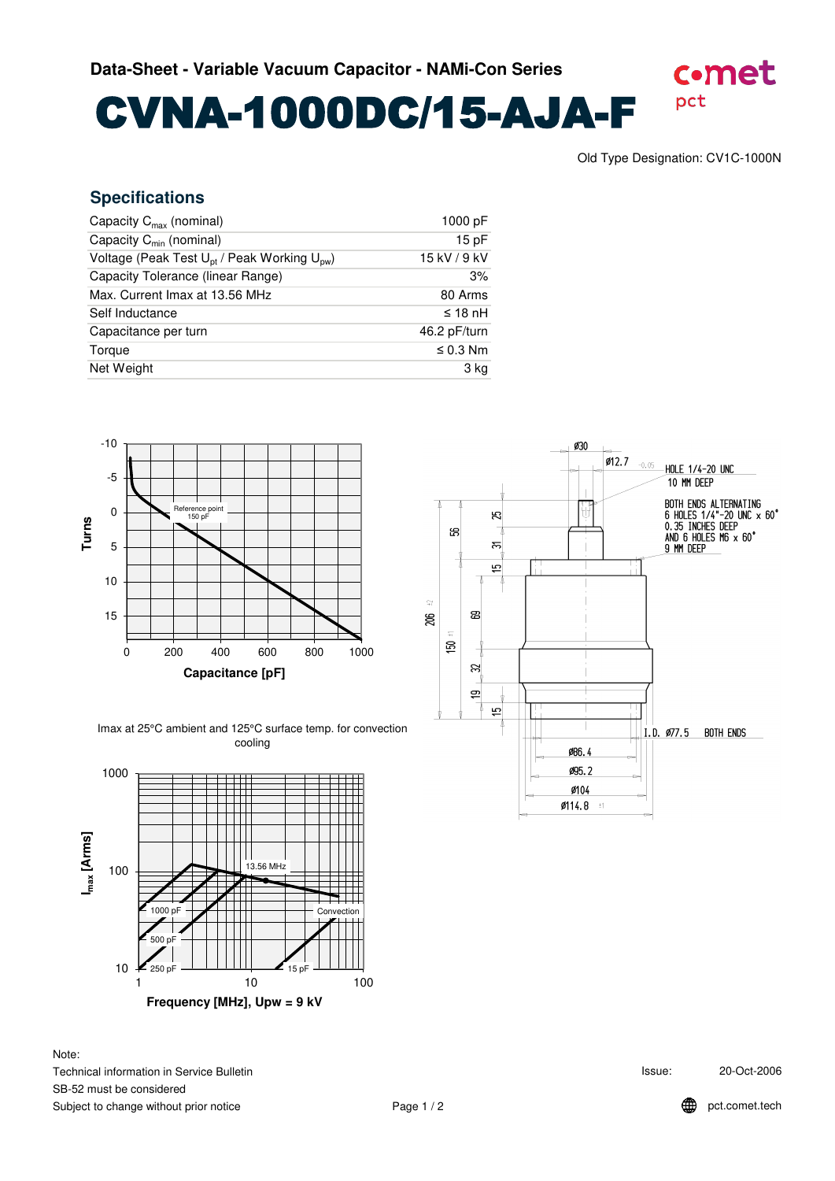CVNA-1000DC/15-AJA-F

pct

c.met

## **Specifications**

| Capacity $C_{\text{max}}$ (nominal)                                 | 1000 pF       |
|---------------------------------------------------------------------|---------------|
| Capacity $C_{min}$ (nominal)                                        | 15pF          |
| Voltage (Peak Test U <sub>pt</sub> / Peak Working U <sub>pw</sub> ) | 15 kV / 9 kV  |
| Capacity Tolerance (linear Range)                                   | 3%            |
| Max. Current Imax at 13.56 MHz                                      | 80 Arms       |
| Self Inductance                                                     | $\leq$ 18 nH  |
| Capacitance per turn                                                | 46.2 pF/turn  |
| Torque                                                              | $\leq$ 0.3 Nm |
| Net Weight                                                          | 3 kg          |
|                                                                     |               |



Imax at 25°C ambient and 125°C surface temp. for convection cooling



Note: Technical information in Service Bulletin SB-52 must be considered Subject to change without prior notice



Issue: 20-Oct-2006